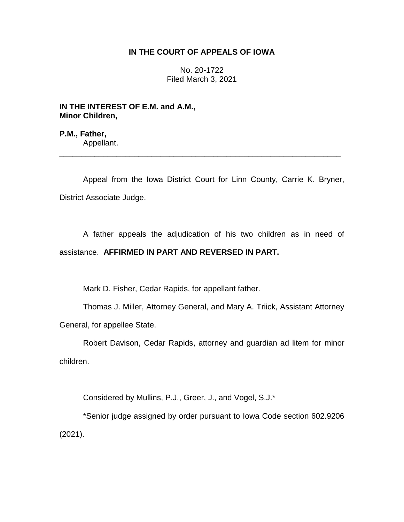## **IN THE COURT OF APPEALS OF IOWA**

No. 20-1722 Filed March 3, 2021

**IN THE INTEREST OF E.M. and A.M., Minor Children,**

**P.M., Father,** Appellant.

Appeal from the Iowa District Court for Linn County, Carrie K. Bryner, District Associate Judge.

\_\_\_\_\_\_\_\_\_\_\_\_\_\_\_\_\_\_\_\_\_\_\_\_\_\_\_\_\_\_\_\_\_\_\_\_\_\_\_\_\_\_\_\_\_\_\_\_\_\_\_\_\_\_\_\_\_\_\_\_\_\_\_\_

A father appeals the adjudication of his two children as in need of assistance. **AFFIRMED IN PART AND REVERSED IN PART.**

Mark D. Fisher, Cedar Rapids, for appellant father.

Thomas J. Miller, Attorney General, and Mary A. Triick, Assistant Attorney General, for appellee State.

Robert Davison, Cedar Rapids, attorney and guardian ad litem for minor children.

Considered by Mullins, P.J., Greer, J., and Vogel, S.J.\*

\*Senior judge assigned by order pursuant to Iowa Code section 602.9206 (2021).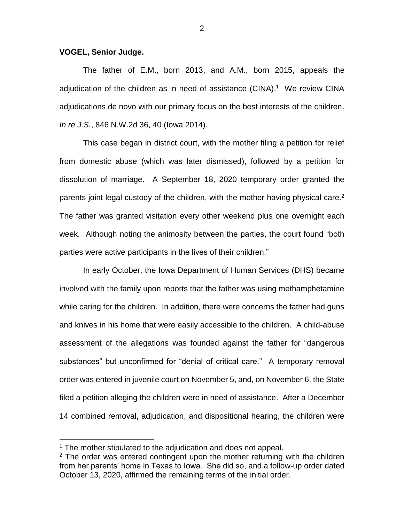## **VOGEL, Senior Judge.**

The father of E.M., born 2013, and A.M., born 2015, appeals the adjudication of the children as in need of assistance (CINA). 1 We review CINA adjudications de novo with our primary focus on the best interests of the children. *In re J.S.*, 846 N.W.2d 36, 40 (Iowa 2014).

This case began in district court, with the mother filing a petition for relief from domestic abuse (which was later dismissed), followed by a petition for dissolution of marriage. A September 18, 2020 temporary order granted the parents joint legal custody of the children, with the mother having physical care.<sup>2</sup> The father was granted visitation every other weekend plus one overnight each week. Although noting the animosity between the parties, the court found "both parties were active participants in the lives of their children."

In early October, the Iowa Department of Human Services (DHS) became involved with the family upon reports that the father was using methamphetamine while caring for the children. In addition, there were concerns the father had guns and knives in his home that were easily accessible to the children. A child-abuse assessment of the allegations was founded against the father for "dangerous substances" but unconfirmed for "denial of critical care." A temporary removal order was entered in juvenile court on November 5, and, on November 6, the State filed a petition alleging the children were in need of assistance. After a December 14 combined removal, adjudication, and dispositional hearing, the children were

 $\overline{a}$ 

2

<sup>&</sup>lt;sup>1</sup> The mother stipulated to the adjudication and does not appeal.

 $2$  The order was entered contingent upon the mother returning with the children from her parents' home in Texas to Iowa. She did so, and a follow-up order dated October 13, 2020, affirmed the remaining terms of the initial order.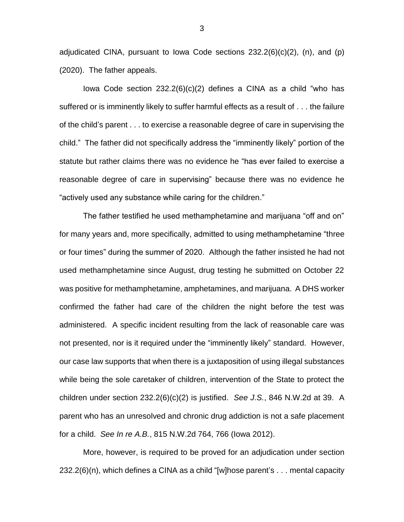adjudicated CINA, pursuant to lowa Code sections  $232.2(6)(c)(2)$ , (n), and (p) (2020). The father appeals.

Iowa Code section 232.2(6)(c)(2) defines a CINA as a child "who has suffered or is imminently likely to suffer harmful effects as a result of . . . the failure of the child's parent . . . to exercise a reasonable degree of care in supervising the child." The father did not specifically address the "imminently likely" portion of the statute but rather claims there was no evidence he "has ever failed to exercise a reasonable degree of care in supervising" because there was no evidence he "actively used any substance while caring for the children."

The father testified he used methamphetamine and marijuana "off and on" for many years and, more specifically, admitted to using methamphetamine "three or four times" during the summer of 2020. Although the father insisted he had not used methamphetamine since August, drug testing he submitted on October 22 was positive for methamphetamine, amphetamines, and marijuana. A DHS worker confirmed the father had care of the children the night before the test was administered. A specific incident resulting from the lack of reasonable care was not presented, nor is it required under the "imminently likely" standard. However, our case law supports that when there is a juxtaposition of using illegal substances while being the sole caretaker of children, intervention of the State to protect the children under section 232.2(6)(c)(2) is justified. *See J.S.*, 846 N.W.2d at 39. A parent who has an unresolved and chronic drug addiction is not a safe placement for a child. *See In re A.B.*, 815 N.W.2d 764, 766 (Iowa 2012).

More, however, is required to be proved for an adjudication under section 232.2(6)(n), which defines a CINA as a child "[w]hose parent's . . . mental capacity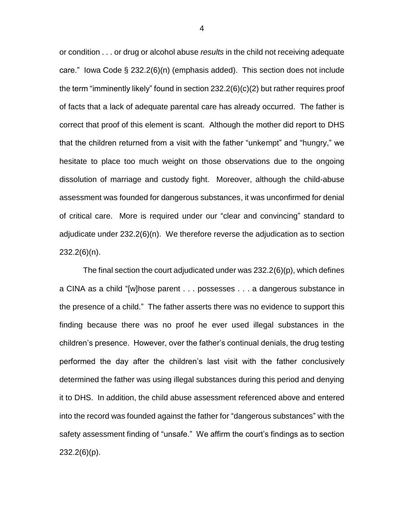or condition . . . or drug or alcohol abuse *results* in the child not receiving adequate care." Iowa Code § 232.2(6)(n) (emphasis added). This section does not include the term "imminently likely" found in section 232.2(6)(c)(2) but rather requires proof of facts that a lack of adequate parental care has already occurred. The father is correct that proof of this element is scant. Although the mother did report to DHS that the children returned from a visit with the father "unkempt" and "hungry," we hesitate to place too much weight on those observations due to the ongoing dissolution of marriage and custody fight. Moreover, although the child-abuse assessment was founded for dangerous substances, it was unconfirmed for denial of critical care. More is required under our "clear and convincing" standard to adjudicate under 232.2(6)(n). We therefore reverse the adjudication as to section 232.2(6)(n).

The final section the court adjudicated under was  $232.2(6)(p)$ , which defines a CINA as a child "[w]hose parent . . . possesses . . . a dangerous substance in the presence of a child." The father asserts there was no evidence to support this finding because there was no proof he ever used illegal substances in the children's presence. However, over the father's continual denials, the drug testing performed the day after the children's last visit with the father conclusively determined the father was using illegal substances during this period and denying it to DHS. In addition, the child abuse assessment referenced above and entered into the record was founded against the father for "dangerous substances" with the safety assessment finding of "unsafe." We affirm the court's findings as to section 232.2(6)(p).

4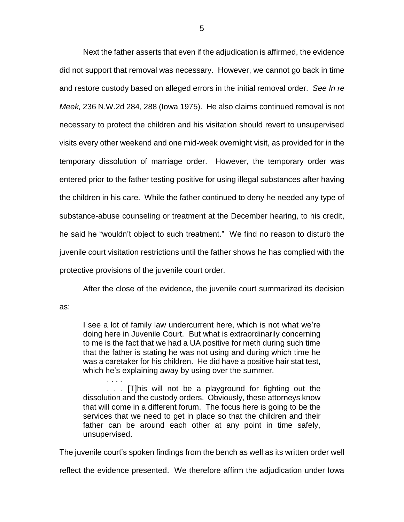Next the father asserts that even if the adjudication is affirmed, the evidence did not support that removal was necessary. However, we cannot go back in time and restore custody based on alleged errors in the initial removal order. *See In re Meek,* 236 N.W.2d 284, 288 (Iowa 1975). He also claims continued removal is not necessary to protect the children and his visitation should revert to unsupervised visits every other weekend and one mid-week overnight visit, as provided for in the temporary dissolution of marriage order. However, the temporary order was entered prior to the father testing positive for using illegal substances after having the children in his care. While the father continued to deny he needed any type of substance-abuse counseling or treatment at the December hearing, to his credit, he said he "wouldn't object to such treatment." We find no reason to disturb the juvenile court visitation restrictions until the father shows he has complied with the protective provisions of the juvenile court order.

After the close of the evidence, the juvenile court summarized its decision

as:

I see a lot of family law undercurrent here, which is not what we're doing here in Juvenile Court. But what is extraordinarily concerning to me is the fact that we had a UA positive for meth during such time that the father is stating he was not using and during which time he was a caretaker for his children. He did have a positive hair stat test, which he's explaining away by using over the summer.

. . . . . . . [T]his will not be a playground for fighting out the dissolution and the custody orders. Obviously, these attorneys know that will come in a different forum. The focus here is going to be the services that we need to get in place so that the children and their father can be around each other at any point in time safely, unsupervised.

The juvenile court's spoken findings from the bench as well as its written order well

reflect the evidence presented. We therefore affirm the adjudication under Iowa